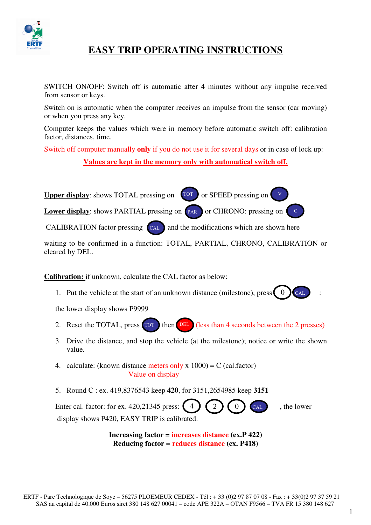

## **EASY TRIP OPERATING INSTRUCTIONS**

SWITCH ON/OFF: Switch off is automatic after 4 minutes without any impulse received from sensor or keys.

Switch on is automatic when the computer receives an impulse from the sensor (car moving) or when you press any key.

Computer keeps the values which were in memory before automatic switch off: calibration factor, distances, time.

Switch off computer manually **only** if you do not use it for several days or in case of lock up:

**Values are kept in the memory only with automatical switch off.**

**Upper display**: shows TOTAL pressing on  $\boxed{TOT}$ **Lower display**: shows PARTIAL pressing on **PAR** or SPEED pressing on or CHRONO: pressing on

CALIBRATION factor pressing  $\left($  cal  $\right)$  and the modifications which are shown here

waiting to be confirmed in a function: TOTAL, PARTIAL, CHRONO, CALIBRATION or cleared by DEL.

**Calibration:** if unknown, calculate the CAL factor as below:

1. Put the vehicle at the start of an unknown distance (milestone), press  $\begin{bmatrix} 0 \end{bmatrix}$  $CAI$ 

the lower display shows P9999

- 2. Reset the TOTAL, press  $\sigma$  from then (DEL) (less than 4 seconds between the 2 presses)
- 3. Drive the distance, and stop the vehicle (at the milestone); notice or write the shown value.
- 4. calculate: (known distance meters only x  $1000$ ) = C (cal.factor) Value on display
- 5. Round C : ex. 419,8376543 keep **420**, for 3151,2654985 keep **3151**

Enter cal. factor: for ex. 420,21345 press:  $(4) (2) (0)$   $(6)$ , the lower display shows P420, EASY TRIP is calibrated.  $CAL$ 

> **Increasing factor = increases distance (ex.P 422) Reducing factor = reduces distance (ex. P418)**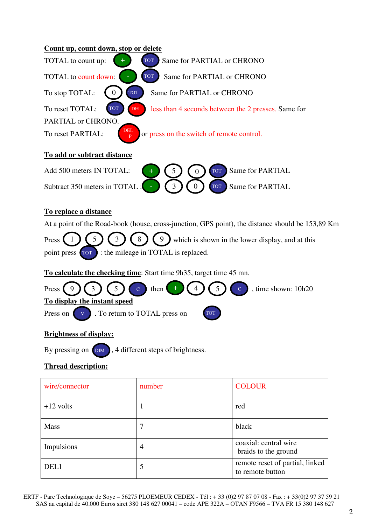| Count up, count down, stop or delete                                                               |
|----------------------------------------------------------------------------------------------------|
| Same for PARTIAL or CHRONO<br>TOTAL to count up:<br><b>TOT</b>                                     |
| <b>TOT</b><br>TOTAL to count down:<br>Same for PARTIAL or CHRONO                                   |
| To stop TOTAL:<br><b>TOT</b><br>Same for PARTIAL or CHRONO<br>$\overline{0}$                       |
| To reset TOTAL:<br><b>TOT</b><br><b>DEL</b><br>less than 4 seconds between the 2 presses. Same for |
| PARTIAL or CHRONO.                                                                                 |
| DEL<br>To reset PARTIAL:<br>or press on the switch of remote control.                              |
| To add or subtract distance                                                                        |
| <b>Same for PARTIAL</b><br>Add 500 meters IN TOTAL:<br>5<br><b>TOT</b><br>$\overline{0}$           |
| $\overline{0}$<br>Subtract 350 meters in TOTAL<br>Same for PARTIAL<br>3<br><b>TOT</b>              |
| To replace a distance                                                                              |
| At a point of the Road-book (house, cross-junction, GPS point), the distance should be 153,89 Km   |
| which is shown in the lower display, and at this<br>8<br>9<br>Press                                |
| : the mileage in TOTAL is replaced.<br>point press [TOT]                                           |
| To calculate the checking time: Start time 9h35, target time 45 mn.                                |
| then<br>, time shown: 10h20<br>Press<br>5<br>3<br>$\mathcal{C}$                                    |
| To display the instant speed                                                                       |
| Press on<br>. To return to TOTAL press on                                                          |
|                                                                                                    |

## **Brightness of display:**

By pressing on  $\Box$ , 4 different steps of brightness.

## **Thread description:**

| wire/connector | number | <b>COLOUR</b>                                       |
|----------------|--------|-----------------------------------------------------|
| $+12$ volts    | 1      | red                                                 |
| <b>Mass</b>    | 7      | black                                               |
| Impulsions     | 4      | coaxial: central wire<br>braids to the ground       |
| DEL1           | 5      | remote reset of partial, linked<br>to remote button |